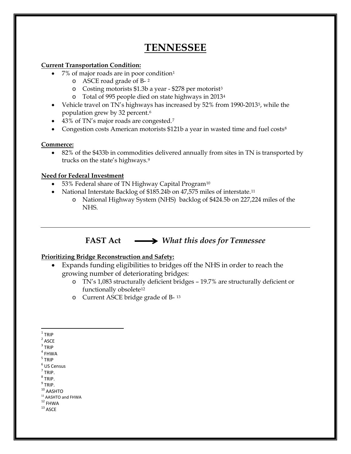# **TENNESSEE**

### **Current Transportation Condition:**

- 7% of major roads are in poor condition<sup>[1](#page-0-0)</sup>
	- o ASCE road grade of B- [2](#page-0-1)
	- o Costing motorists \$1.3b a year \$278 per motorist[3](#page-0-2)
	- o Total of 995 people died on state highways in 2013[4](#page-0-3)
- Vehicle travel on TN's highways has increased by [5](#page-0-4)2% from 1990-2013<sup>5</sup>, while the population grew by 32 percent.[6](#page-0-5)
- 43% of TN's major roads are congested.<sup>[7](#page-0-6)</sup>
- Congestion costs American motorists \$121b a year in wasted time and fuel costs<sup>[8](#page-0-7)</sup>

### **Commerce:**

• 82% of the \$433b in commodities delivered annually from sites in TN is transported by trucks on the state's highways.[9](#page-0-8)

### **Need for Federal Investment**

- 53% Federal share of TN Highway Capital Program<sup>[10](#page-0-9)</sup>
- National Interstate Backlog of \$185.24b on 47,575 miles of interstate.<sup>[11](#page-0-10)</sup>
	- o National Highway System (NHS) backlog of \$424.5b on 227,224 miles of the NHS.

# **FAST Act** *What this does for Tennessee*

## **Prioritizing Bridge Reconstruction and Safety:**

- Expands funding eligibilities to bridges off the NHS in order to reach the growing number of deteriorating bridges:
	- o TN's 1,083 structurally deficient bridges 19.7% are structurally deficient or functionally obsolete<sup>[12](#page-0-11)</sup>
	- o Current ASCE bridge grade of B- [13](#page-0-12)
- <span id="page-0-0"></span> $1$  TRIP
- <span id="page-0-1"></span> $2$  ASCE
- <span id="page-0-2"></span> $3$  TRIP
- <span id="page-0-3"></span> $4$  FHWA
- <span id="page-0-4"></span><sup>5</sup> TRIP
- <span id="page-0-5"></span><sup>6</sup> US Census
- <span id="page-0-6"></span> $<sup>7</sup>$  TRIP.</sup>  $8$  TRIP.
- <span id="page-0-7"></span> $^9$  TRIP.
- <span id="page-0-9"></span><span id="page-0-8"></span> $10$  AASHTO
- 
- <span id="page-0-11"></span><span id="page-0-10"></span><sup>11</sup> AASHTO and FHWA<br><sup>12</sup> FHWA<br><sup>13</sup> ASCE
- <span id="page-0-12"></span>